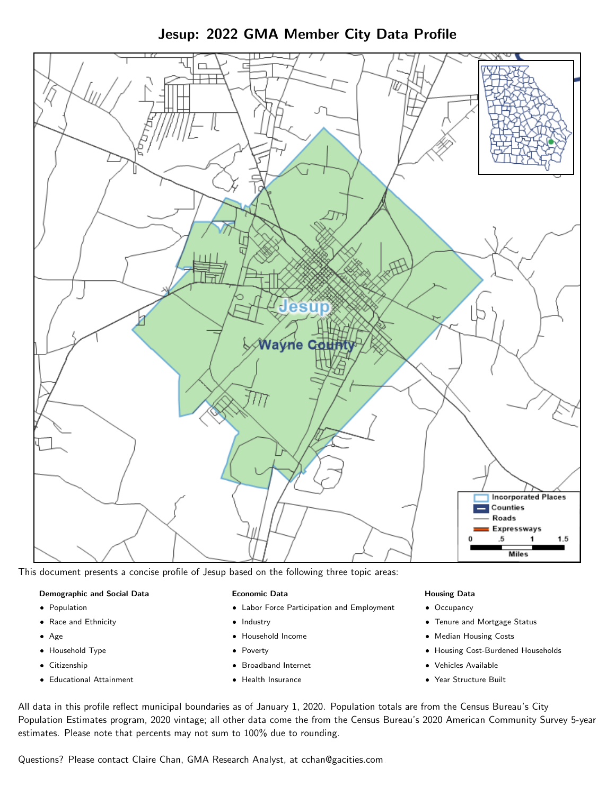

Jesup: 2022 GMA Member City Data Profile

This document presents a concise profile of Jesup based on the following three topic areas:

#### Demographic and Social Data

- **•** Population
- Race and Ethnicity
- Age
- Household Type
- **Citizenship**
- Educational Attainment

## Economic Data

- Labor Force Participation and Employment
- Industry
- Household Income
- Poverty
- Broadband Internet
- Health Insurance

#### Housing Data

- Occupancy
- Tenure and Mortgage Status
- Median Housing Costs
- Housing Cost-Burdened Households
- Vehicles Available
- Year Structure Built

All data in this profile reflect municipal boundaries as of January 1, 2020. Population totals are from the Census Bureau's City Population Estimates program, 2020 vintage; all other data come the from the Census Bureau's 2020 American Community Survey 5-year estimates. Please note that percents may not sum to 100% due to rounding.

Questions? Please contact Claire Chan, GMA Research Analyst, at [cchan@gacities.com.](mailto:cchan@gacities.com)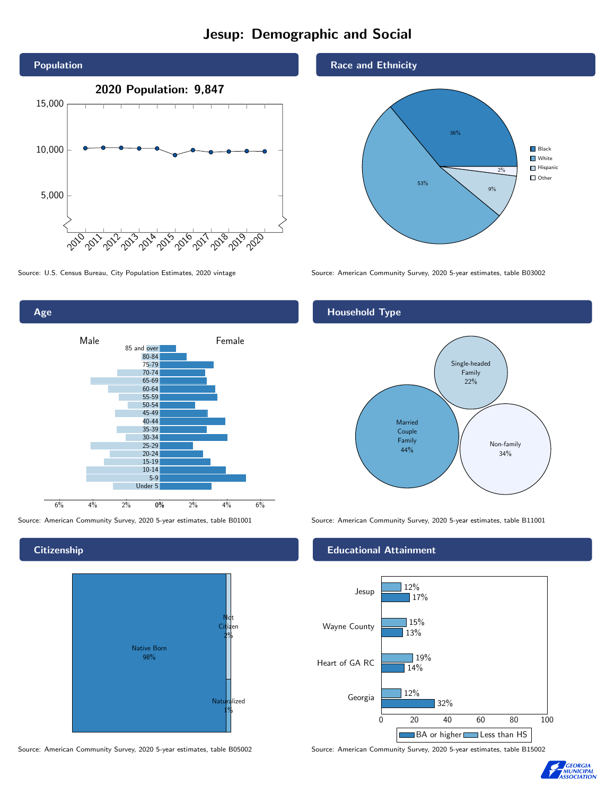# Jesup: Demographic and Social





**Citizenship** 



Source: American Community Survey, 2020 5-year estimates, table B05002 Source: American Community Survey, 2020 5-year estimates, table B15002

## Race and Ethnicity



Source: U.S. Census Bureau, City Population Estimates, 2020 vintage Source: American Community Survey, 2020 5-year estimates, table B03002

# Household Type



Source: American Community Survey, 2020 5-year estimates, table B01001 Source: American Community Survey, 2020 5-year estimates, table B11001

## Educational Attainment



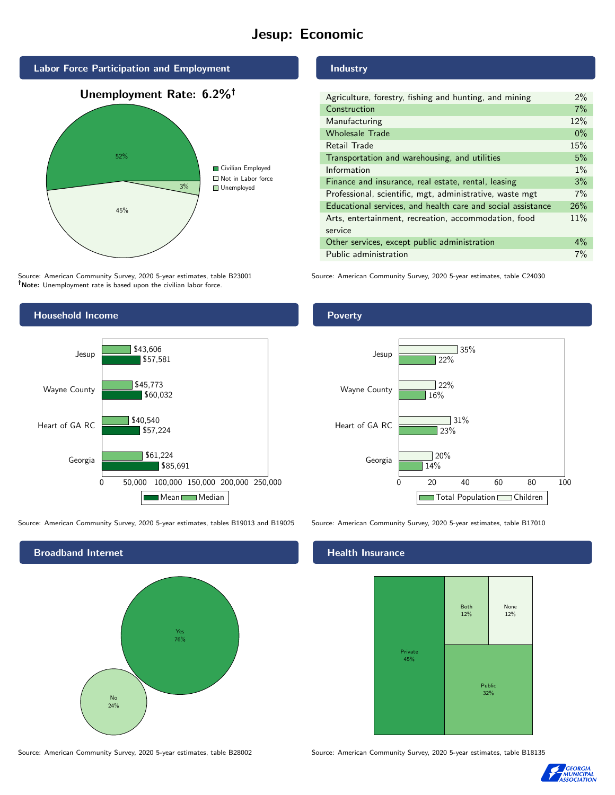# Jesup: Economic



Source: American Community Survey, 2020 5-year estimates, table B23001 Note: Unemployment rate is based upon the civilian labor force.

# Agriculture, forestry, fishing and hunting, and mining 2%

Industry

| Agriculture, forestry, rishing and hunting, and mining      | 2/0   |
|-------------------------------------------------------------|-------|
| Construction                                                | 7%    |
| Manufacturing                                               | 12%   |
| <b>Wholesale Trade</b>                                      | $0\%$ |
| Retail Trade                                                | 15%   |
| Transportation and warehousing, and utilities               | 5%    |
| Information                                                 | $1\%$ |
| Finance and insurance, real estate, rental, leasing         | 3%    |
| Professional, scientific, mgt, administrative, waste mgt    | 7%    |
| Educational services, and health care and social assistance | 26%   |
| Arts, entertainment, recreation, accommodation, food        | 11%   |
| service                                                     |       |
| Other services, except public administration                | $4\%$ |
| Public administration                                       | 7%    |
|                                                             |       |

Source: American Community Survey, 2020 5-year estimates, table C24030



Source: American Community Survey, 2020 5-year estimates, tables B19013 and B19025 Source: American Community Survey, 2020 5-year estimates, table B17010

Broadband Internet No 24% Yes 76%

## Health Insurance



Source: American Community Survey, 2020 5-year estimates, table B28002 Source: American Community Survey, 2020 5-year estimates, table B18135